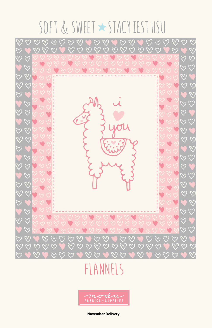# SOFT & SWEET \* STACY IEST HSU



E BROSO BROWS BROWS  $\omega \omega \omega$ U QQ U QQ U Q QQQ

**November Delivery**

## **Flannels**

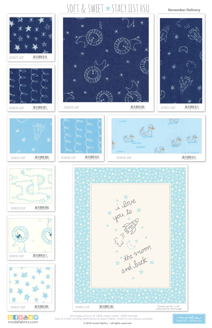**© 2018 moda fabrics • all rights reserved**



All images shown at 100% unless noted. 100% Flannels. Due to CMYK printing restrictions an exact fabric match is not always possible.



\* i love<br>\* i love

















#### **November Delivery**



蹬

20602 16F (FCBAG)



**B** f <sup>n</sup> The state modarabrics.com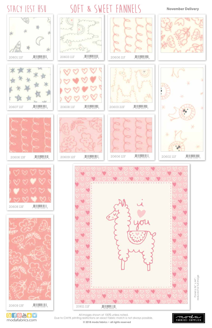**© 2018 moda fabrics • all rights reserved**



All images shown at 100% unless noted. Due to CMYK printing restrictions an exact fabric match is not always possible.

















 $\sim$ 















 $20608$  11F  $\frac{1}{7}$   $\frac{1}{52106}$   $\frac{1}{44325}$ 





















SOFT & SWEET FANNELS





STACY IEST HSU



#### **November Delivery**



 $20602$  11F  $\frac{1}{2}$   $\frac{1}{2}$   $\frac{1}{2}$   $\frac{1}{2}$   $\frac{1}{2}$   $\frac{1}{2}$   $\frac{1}{2}$   $\frac{1}{2}$   $\frac{1}{2}$   $\frac{1}{2}$   $\frac{1}{2}$   $\frac{1}{2}$   $\frac{1}{2}$   $\frac{1}{2}$   $\frac{1}{2}$   $\frac{1}{2}$   $\frac{1}{2}$   $\frac{1}{2}$   $\frac{1}{2}$   $\frac{1}{2}$   $\frac{1}{2}$ 

Panel is 36" x 44";<br>reduced for full image reduced for full image Panel is 36" x 44";

**B** f <sup>n</sup> mediatorics.com